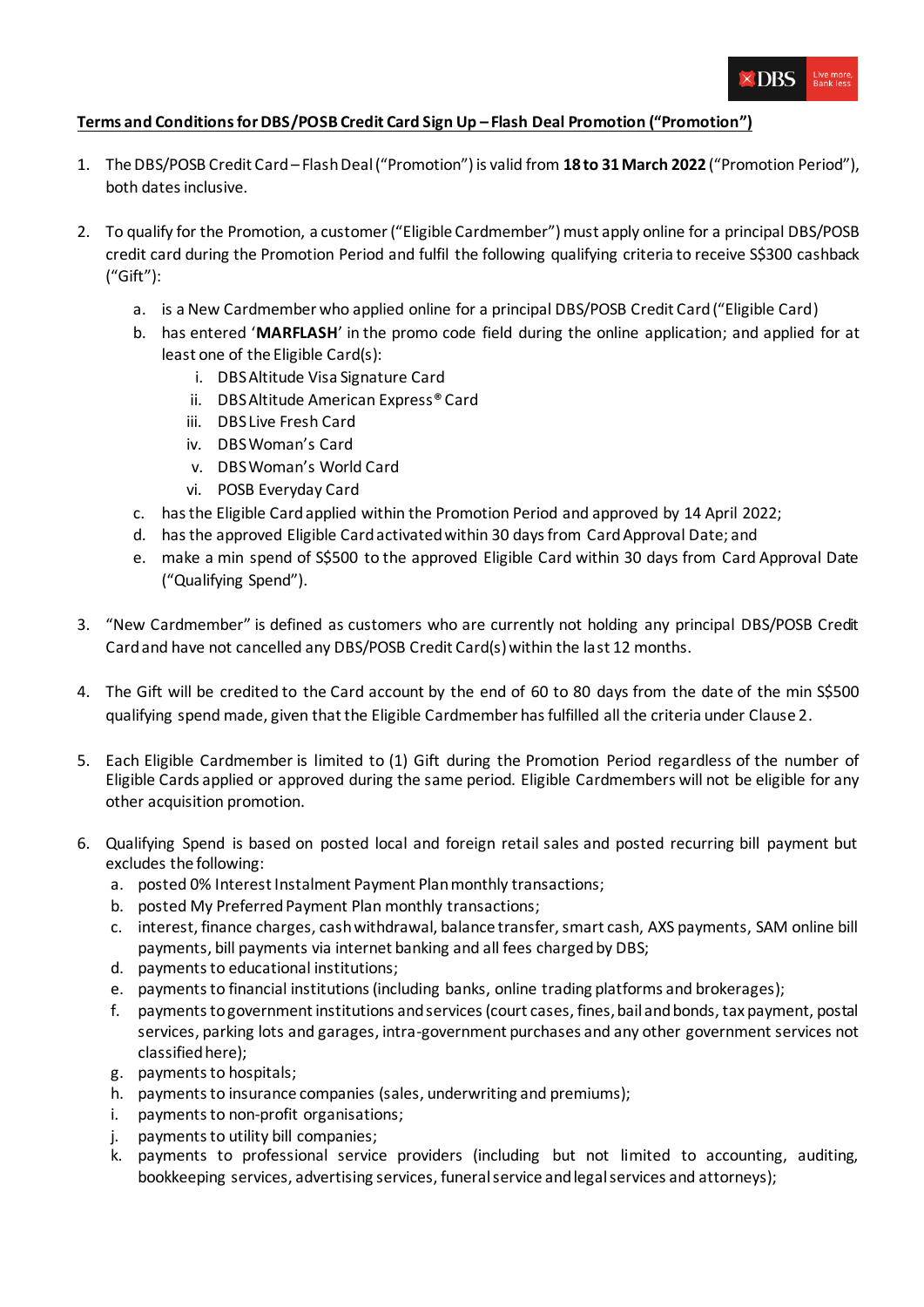

## **Terms and Conditions for DBS/POSB Credit Card Sign Up – Flash Deal Promotion ("Promotion")**

- 1. The DBS/POSB Credit Card Flash Deal ("Promotion")is valid from **18 to 31March 2022** ("Promotion Period"), both dates inclusive.
- 2. To qualify for the Promotion, a customer ("Eligible Cardmember") must apply online for a principal DBS/POSB credit card during the Promotion Period and fulfil the following qualifying criteria to receive S\$300 cashback ("Gift"):
	- a. is a New Cardmember who applied online for a principal DBS/POSB Credit Card ("Eligible Card)
	- b. has entered '**MARFLASH**' in the promo code field during the online application; and applied for at least one of the Eligible Card(s):
		- i. DBS Altitude Visa Signature Card
		- ii. DBS Altitude American Express® Card
		- iii. DBS Live Fresh Card
		- iv. DBS Woman's Card
		- v. DBS Woman's World Card
		- vi. POSB Everyday Card
	- c. has the Eligible Card applied within the Promotion Period and approved by 14 April 2022;
	- d. hasthe approved Eligible Card activated within 30 days from Card Approval Date; and
	- e. make a min spend of S\$500 to the approved Eligible Card within 30 days from Card Approval Date ("Qualifying Spend").
- 3. "New Cardmember" is defined as customers who are currently not holding any principal DBS/POSB Credit Card and have not cancelled any DBS/POSB Credit Card(s) within the last 12 months.
- 4. The Gift will be credited to the Card account by the end of 60 to 80 days from the date of the min S\$500 qualifying spend made, given that the Eligible Cardmember has fulfilled all the criteria under Clause 2.
- 5. Each Eligible Cardmember is limited to (1) Gift during the Promotion Period regardless of the number of Eligible Cards applied or approved during the same period. Eligible Cardmembers will not be eligible for any other acquisition promotion.
- 6. Qualifying Spend is based on posted local and foreign retail sales and posted recurring bill payment but excludes the following:
	- a. posted 0% Interest Instalment Payment Plan monthly transactions;
	- b. posted My Preferred Payment Plan monthly transactions;
	- c. interest, finance charges, cash withdrawal, balance transfer, smart cash, AXS payments, SAM online bill payments, bill payments via internet banking and all fees charged by DBS;
	- d. payments to educational institutions;
	- e. payments to financial institutions (including banks, online trading platforms and brokerages);
	- f. payments to government institutions and services (court cases, fines, bail and bonds, tax payment, postal services, parking lots and garages, intra-government purchases and any other government services not classified here);
	- g. payments to hospitals;
	- h. payments to insurance companies (sales, underwriting and premiums);
	- i. payments to non-profit organisations;
	- j. payments to utility bill companies;
	- k. payments to professional service providers (including but not limited to accounting, auditing, bookkeeping services, advertising services, funeral service and legal services and attorneys);